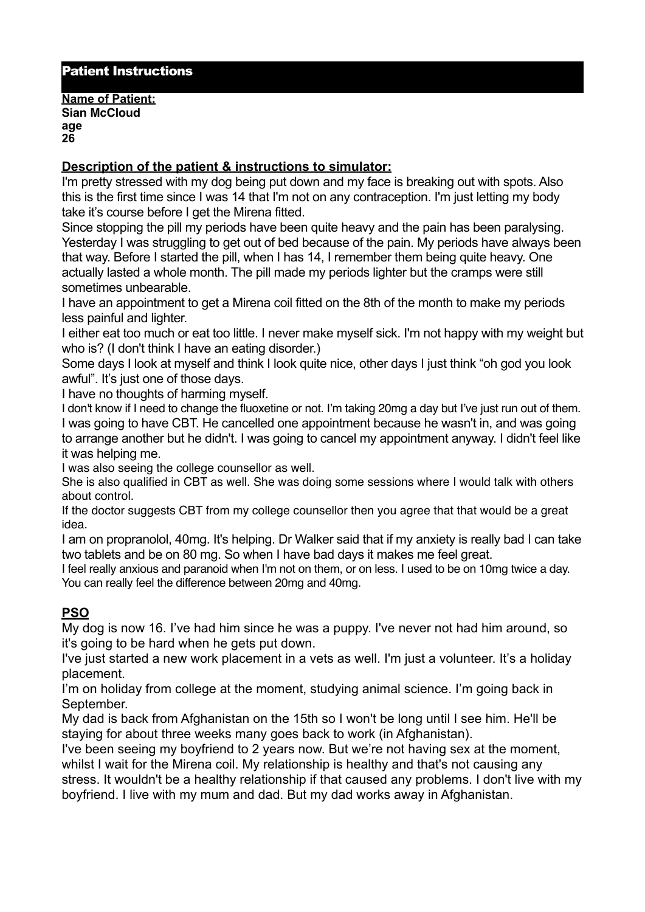## Patient Instructions

**Name of Patient: Sian McCloud age 26** 

## **Description of the patient & instructions to simulator:**

I'm pretty stressed with my dog being put down and my face is breaking out with spots. Also this is the first time since I was 14 that I'm not on any contraception. I'm just letting my body take it's course before I get the Mirena fitted.

Since stopping the pill my periods have been quite heavy and the pain has been paralysing. Yesterday I was struggling to get out of bed because of the pain. My periods have always been that way. Before I started the pill, when I has 14, I remember them being quite heavy. One actually lasted a whole month. The pill made my periods lighter but the cramps were still sometimes unbearable.

I have an appointment to get a Mirena coil fitted on the 8th of the month to make my periods less painful and lighter.

I either eat too much or eat too little. I never make myself sick. I'm not happy with my weight but who is? (I don't think I have an eating disorder.)

Some days I look at myself and think I look quite nice, other days I just think "oh god you look awful". It's just one of those days.

I have no thoughts of harming myself.

I don't know if I need to change the fluoxetine or not. I'm taking 20mg a day but I've just run out of them. I was going to have CBT. He cancelled one appointment because he wasn't in, and was going to arrange another but he didn't. I was going to cancel my appointment anyway. I didn't feel like it was helping me.

I was also seeing the college counsellor as well.

She is also qualified in CBT as well. She was doing some sessions where I would talk with others about control.

If the doctor suggests CBT from my college counsellor then you agree that that would be a great idea.

I am on propranolol, 40mg. It's helping. Dr Walker said that if my anxiety is really bad I can take two tablets and be on 80 mg. So when I have bad days it makes me feel great.

I feel really anxious and paranoid when I'm not on them, or on less. I used to be on 10mg twice a day. You can really feel the difference between 20mg and 40mg.

## **PSO**

My dog is now 16. I've had him since he was a puppy. I've never not had him around, so it's going to be hard when he gets put down.

I've just started a new work placement in a vets as well. I'm just a volunteer. It's a holiday placement.

I'm on holiday from college at the moment, studying animal science. I'm going back in September.

My dad is back from Afghanistan on the 15th so I won't be long until I see him. He'll be staying for about three weeks many goes back to work (in Afghanistan).

I've been seeing my boyfriend to 2 years now. But we're not having sex at the moment, whilst I wait for the Mirena coil. My relationship is healthy and that's not causing any stress. It wouldn't be a healthy relationship if that caused any problems. I don't live with my boyfriend. I live with my mum and dad. But my dad works away in Afghanistan.